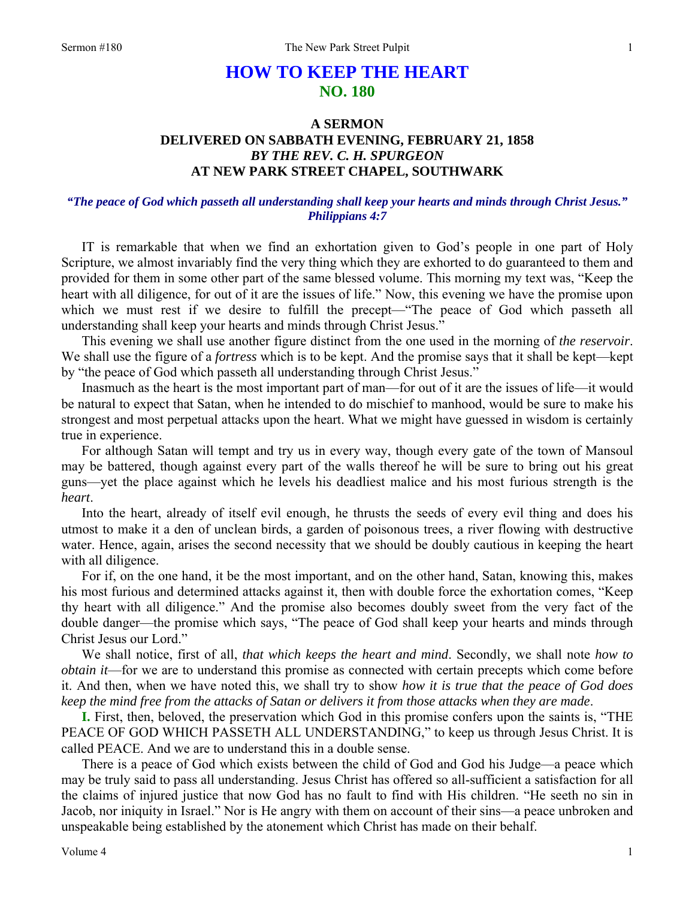## **HOW TO KEEP THE HEART NO. 180**

## **A SERMON DELIVERED ON SABBATH EVENING, FEBRUARY 21, 1858**  *BY THE REV. C. H. SPURGEON*  **AT NEW PARK STREET CHAPEL, SOUTHWARK**

## *"The peace of God which passeth all understanding shall keep your hearts and minds through Christ Jesus." Philippians 4:7*

IT is remarkable that when we find an exhortation given to God's people in one part of Holy Scripture, we almost invariably find the very thing which they are exhorted to do guaranteed to them and provided for them in some other part of the same blessed volume. This morning my text was, "Keep the heart with all diligence, for out of it are the issues of life." Now, this evening we have the promise upon which we must rest if we desire to fulfill the precept—"The peace of God which passeth all understanding shall keep your hearts and minds through Christ Jesus."

This evening we shall use another figure distinct from the one used in the morning of *the reservoir*. We shall use the figure of a *fortress* which is to be kept. And the promise says that it shall be kept—kept by "the peace of God which passeth all understanding through Christ Jesus."

Inasmuch as the heart is the most important part of man—for out of it are the issues of life—it would be natural to expect that Satan, when he intended to do mischief to manhood, would be sure to make his strongest and most perpetual attacks upon the heart. What we might have guessed in wisdom is certainly true in experience.

For although Satan will tempt and try us in every way, though every gate of the town of Mansoul may be battered, though against every part of the walls thereof he will be sure to bring out his great guns—yet the place against which he levels his deadliest malice and his most furious strength is the *heart*.

Into the heart, already of itself evil enough, he thrusts the seeds of every evil thing and does his utmost to make it a den of unclean birds, a garden of poisonous trees, a river flowing with destructive water. Hence, again, arises the second necessity that we should be doubly cautious in keeping the heart with all diligence.

For if, on the one hand, it be the most important, and on the other hand, Satan, knowing this, makes his most furious and determined attacks against it, then with double force the exhortation comes, "Keep thy heart with all diligence." And the promise also becomes doubly sweet from the very fact of the double danger—the promise which says, "The peace of God shall keep your hearts and minds through Christ Jesus our Lord."

We shall notice, first of all, *that which keeps the heart and mind*. Secondly, we shall note *how to obtain it*—for we are to understand this promise as connected with certain precepts which come before it. And then, when we have noted this, we shall try to show *how it is true that the peace of God does keep the mind free from the attacks of Satan or delivers it from those attacks when they are made*.

**I.** First, then, beloved, the preservation which God in this promise confers upon the saints is, "THE PEACE OF GOD WHICH PASSETH ALL UNDERSTANDING," to keep us through Jesus Christ. It is called PEACE. And we are to understand this in a double sense.

There is a peace of God which exists between the child of God and God his Judge—a peace which may be truly said to pass all understanding. Jesus Christ has offered so all-sufficient a satisfaction for all the claims of injured justice that now God has no fault to find with His children. "He seeth no sin in Jacob, nor iniquity in Israel." Nor is He angry with them on account of their sins—a peace unbroken and unspeakable being established by the atonement which Christ has made on their behalf.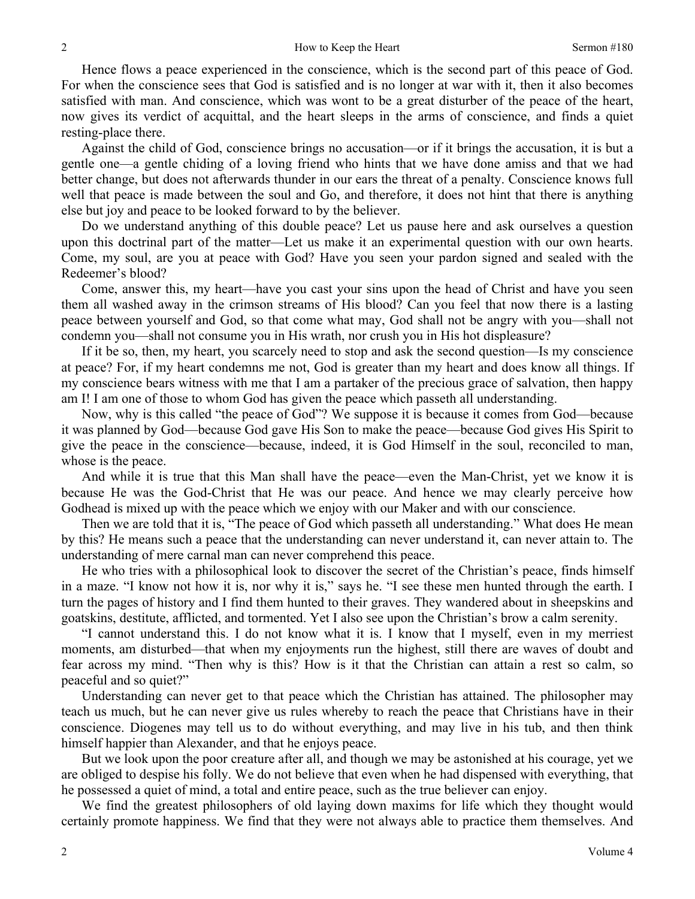Hence flows a peace experienced in the conscience, which is the second part of this peace of God. For when the conscience sees that God is satisfied and is no longer at war with it, then it also becomes satisfied with man. And conscience, which was wont to be a great disturber of the peace of the heart, now gives its verdict of acquittal, and the heart sleeps in the arms of conscience, and finds a quiet resting-place there.

Against the child of God, conscience brings no accusation—or if it brings the accusation, it is but a gentle one—a gentle chiding of a loving friend who hints that we have done amiss and that we had better change, but does not afterwards thunder in our ears the threat of a penalty. Conscience knows full well that peace is made between the soul and Go, and therefore, it does not hint that there is anything else but joy and peace to be looked forward to by the believer.

Do we understand anything of this double peace? Let us pause here and ask ourselves a question upon this doctrinal part of the matter—Let us make it an experimental question with our own hearts. Come, my soul, are you at peace with God? Have you seen your pardon signed and sealed with the Redeemer's blood?

Come, answer this, my heart—have you cast your sins upon the head of Christ and have you seen them all washed away in the crimson streams of His blood? Can you feel that now there is a lasting peace between yourself and God, so that come what may, God shall not be angry with you—shall not condemn you—shall not consume you in His wrath, nor crush you in His hot displeasure?

If it be so, then, my heart, you scarcely need to stop and ask the second question—Is my conscience at peace? For, if my heart condemns me not, God is greater than my heart and does know all things. If my conscience bears witness with me that I am a partaker of the precious grace of salvation, then happy am I! I am one of those to whom God has given the peace which passeth all understanding.

Now, why is this called "the peace of God"? We suppose it is because it comes from God—because it was planned by God—because God gave His Son to make the peace—because God gives His Spirit to give the peace in the conscience—because, indeed, it is God Himself in the soul, reconciled to man, whose is the peace.

And while it is true that this Man shall have the peace—even the Man-Christ, yet we know it is because He was the God-Christ that He was our peace. And hence we may clearly perceive how Godhead is mixed up with the peace which we enjoy with our Maker and with our conscience.

Then we are told that it is, "The peace of God which passeth all understanding." What does He mean by this? He means such a peace that the understanding can never understand it, can never attain to. The understanding of mere carnal man can never comprehend this peace.

He who tries with a philosophical look to discover the secret of the Christian's peace, finds himself in a maze. "I know not how it is, nor why it is," says he. "I see these men hunted through the earth. I turn the pages of history and I find them hunted to their graves. They wandered about in sheepskins and goatskins, destitute, afflicted, and tormented. Yet I also see upon the Christian's brow a calm serenity.

"I cannot understand this. I do not know what it is. I know that I myself, even in my merriest moments, am disturbed—that when my enjoyments run the highest, still there are waves of doubt and fear across my mind. "Then why is this? How is it that the Christian can attain a rest so calm, so peaceful and so quiet?"

Understanding can never get to that peace which the Christian has attained. The philosopher may teach us much, but he can never give us rules whereby to reach the peace that Christians have in their conscience. Diogenes may tell us to do without everything, and may live in his tub, and then think himself happier than Alexander, and that he enjoys peace.

But we look upon the poor creature after all, and though we may be astonished at his courage, yet we are obliged to despise his folly. We do not believe that even when he had dispensed with everything, that he possessed a quiet of mind, a total and entire peace, such as the true believer can enjoy.

We find the greatest philosophers of old laying down maxims for life which they thought would certainly promote happiness. We find that they were not always able to practice them themselves. And

2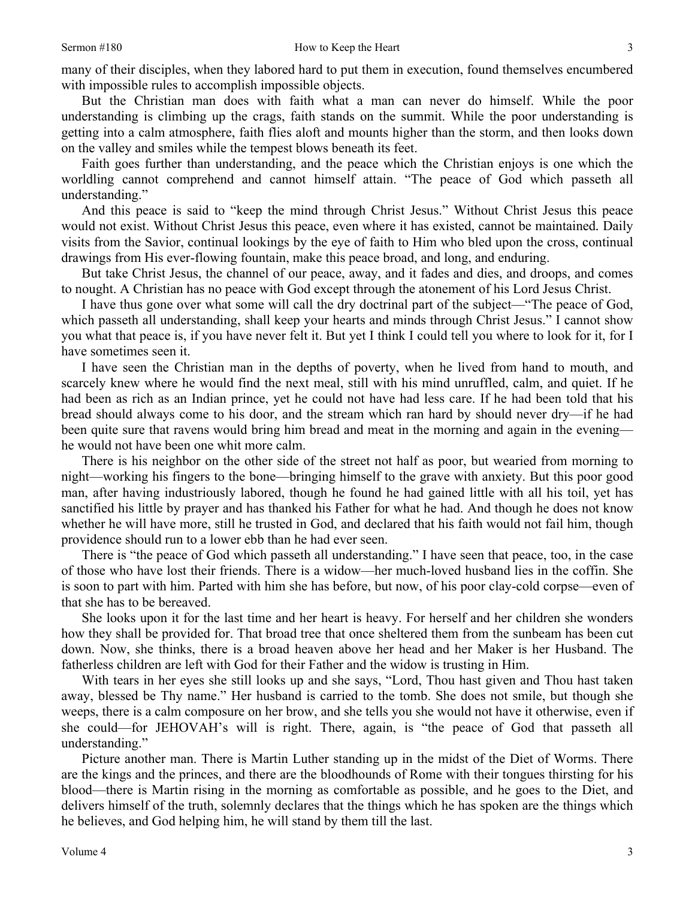3

many of their disciples, when they labored hard to put them in execution, found themselves encumbered with impossible rules to accomplish impossible objects.

But the Christian man does with faith what a man can never do himself. While the poor understanding is climbing up the crags, faith stands on the summit. While the poor understanding is getting into a calm atmosphere, faith flies aloft and mounts higher than the storm, and then looks down on the valley and smiles while the tempest blows beneath its feet.

Faith goes further than understanding, and the peace which the Christian enjoys is one which the worldling cannot comprehend and cannot himself attain. "The peace of God which passeth all understanding."

And this peace is said to "keep the mind through Christ Jesus." Without Christ Jesus this peace would not exist. Without Christ Jesus this peace, even where it has existed, cannot be maintained*.* Daily visits from the Savior, continual lookings by the eye of faith to Him who bled upon the cross, continual drawings from His ever-flowing fountain, make this peace broad, and long, and enduring.

But take Christ Jesus, the channel of our peace, away, and it fades and dies, and droops, and comes to nought. A Christian has no peace with God except through the atonement of his Lord Jesus Christ.

I have thus gone over what some will call the dry doctrinal part of the subject—"The peace of God, which passeth all understanding, shall keep your hearts and minds through Christ Jesus." I cannot show you what that peace is, if you have never felt it. But yet I think I could tell you where to look for it, for I have sometimes seen it.

I have seen the Christian man in the depths of poverty, when he lived from hand to mouth, and scarcely knew where he would find the next meal, still with his mind unruffled, calm, and quiet. If he had been as rich as an Indian prince, yet he could not have had less care. If he had been told that his bread should always come to his door, and the stream which ran hard by should never dry—if he had been quite sure that ravens would bring him bread and meat in the morning and again in the evening he would not have been one whit more calm.

There is his neighbor on the other side of the street not half as poor, but wearied from morning to night—working his fingers to the bone—bringing himself to the grave with anxiety. But this poor good man, after having industriously labored, though he found he had gained little with all his toil, yet has sanctified his little by prayer and has thanked his Father for what he had. And though he does not know whether he will have more, still he trusted in God, and declared that his faith would not fail him, though providence should run to a lower ebb than he had ever seen.

There is "the peace of God which passeth all understanding." I have seen that peace, too, in the case of those who have lost their friends. There is a widow—her much-loved husband lies in the coffin. She is soon to part with him. Parted with him she has before, but now, of his poor clay-cold corpse—even of that she has to be bereaved.

She looks upon it for the last time and her heart is heavy. For herself and her children she wonders how they shall be provided for. That broad tree that once sheltered them from the sunbeam has been cut down. Now, she thinks, there is a broad heaven above her head and her Maker is her Husband. The fatherless children are left with God for their Father and the widow is trusting in Him.

With tears in her eyes she still looks up and she says, "Lord, Thou hast given and Thou hast taken away, blessed be Thy name." Her husband is carried to the tomb. She does not smile, but though she weeps, there is a calm composure on her brow, and she tells you she would not have it otherwise, even if she could—for JEHOVAH's will is right. There, again, is "the peace of God that passeth all understanding."

Picture another man. There is Martin Luther standing up in the midst of the Diet of Worms. There are the kings and the princes, and there are the bloodhounds of Rome with their tongues thirsting for his blood—there is Martin rising in the morning as comfortable as possible, and he goes to the Diet, and delivers himself of the truth, solemnly declares that the things which he has spoken are the things which he believes, and God helping him, he will stand by them till the last.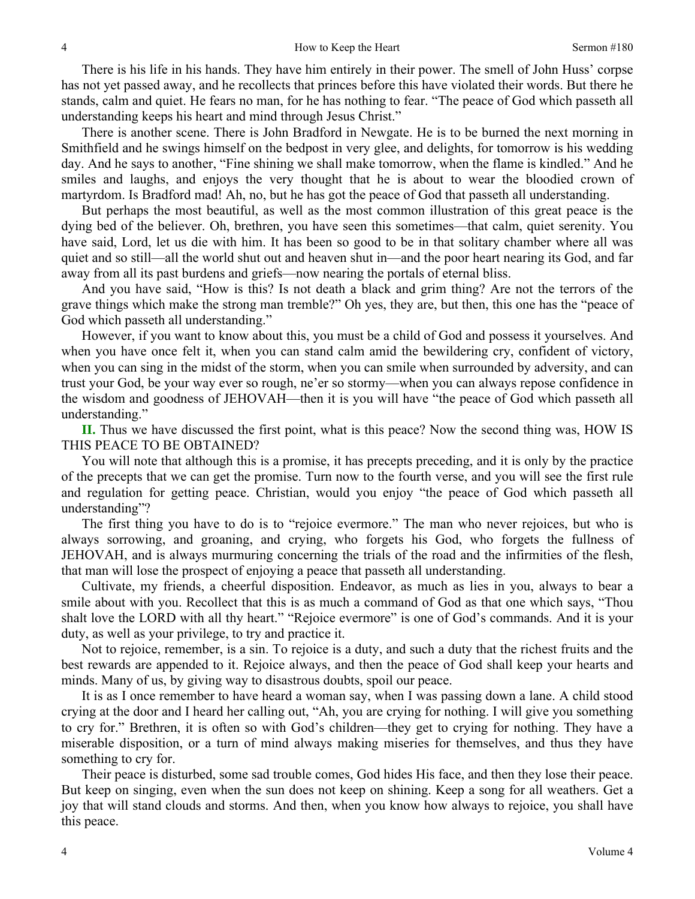There is his life in his hands. They have him entirely in their power. The smell of John Huss' corpse has not yet passed away, and he recollects that princes before this have violated their words. But there he stands, calm and quiet. He fears no man, for he has nothing to fear. "The peace of God which passeth all understanding keeps his heart and mind through Jesus Christ."

There is another scene. There is John Bradford in Newgate. He is to be burned the next morning in Smithfield and he swings himself on the bedpost in very glee, and delights, for tomorrow is his wedding day. And he says to another, "Fine shining we shall make tomorrow, when the flame is kindled." And he smiles and laughs, and enjoys the very thought that he is about to wear the bloodied crown of martyrdom. Is Bradford mad! Ah, no, but he has got the peace of God that passeth all understanding.

But perhaps the most beautiful, as well as the most common illustration of this great peace is the dying bed of the believer. Oh, brethren, you have seen this sometimes—that calm, quiet serenity. You have said, Lord, let us die with him. It has been so good to be in that solitary chamber where all was quiet and so still—all the world shut out and heaven shut in—and the poor heart nearing its God, and far away from all its past burdens and griefs—now nearing the portals of eternal bliss.

And you have said, "How is this? Is not death a black and grim thing? Are not the terrors of the grave things which make the strong man tremble?" Oh yes, they are, but then, this one has the "peace of God which passeth all understanding."

However, if you want to know about this, you must be a child of God and possess it yourselves. And when you have once felt it, when you can stand calm amid the bewildering cry, confident of victory, when you can sing in the midst of the storm, when you can smile when surrounded by adversity, and can trust your God, be your way ever so rough, ne'er so stormy—when you can always repose confidence in the wisdom and goodness of JEHOVAH—then it is you will have "the peace of God which passeth all understanding."

**II.** Thus we have discussed the first point, what is this peace? Now the second thing was, HOW IS THIS PEACE TO BE OBTAINED?

You will note that although this is a promise, it has precepts preceding, and it is only by the practice of the precepts that we can get the promise. Turn now to the fourth verse, and you will see the first rule and regulation for getting peace. Christian, would you enjoy "the peace of God which passeth all understanding"?

The first thing you have to do is to "rejoice evermore." The man who never rejoices, but who is always sorrowing, and groaning, and crying, who forgets his God, who forgets the fullness of JEHOVAH, and is always murmuring concerning the trials of the road and the infirmities of the flesh, that man will lose the prospect of enjoying a peace that passeth all understanding.

Cultivate, my friends, a cheerful disposition. Endeavor, as much as lies in you, always to bear a smile about with you. Recollect that this is as much a command of God as that one which says, "Thou shalt love the LORD with all thy heart." "Rejoice evermore" is one of God's commands. And it is your duty, as well as your privilege, to try and practice it.

Not to rejoice, remember, is a sin. To rejoice is a duty, and such a duty that the richest fruits and the best rewards are appended to it. Rejoice always, and then the peace of God shall keep your hearts and minds. Many of us, by giving way to disastrous doubts, spoil our peace.

It is as I once remember to have heard a woman say, when I was passing down a lane. A child stood crying at the door and I heard her calling out, "Ah, you are crying for nothing. I will give you something to cry for." Brethren, it is often so with God's children—they get to crying for nothing. They have a miserable disposition, or a turn of mind always making miseries for themselves, and thus they have something to cry for.

Their peace is disturbed, some sad trouble comes, God hides His face, and then they lose their peace. But keep on singing, even when the sun does not keep on shining. Keep a song for all weathers. Get a joy that will stand clouds and storms. And then, when you know how always to rejoice, you shall have this peace.

 $\Delta$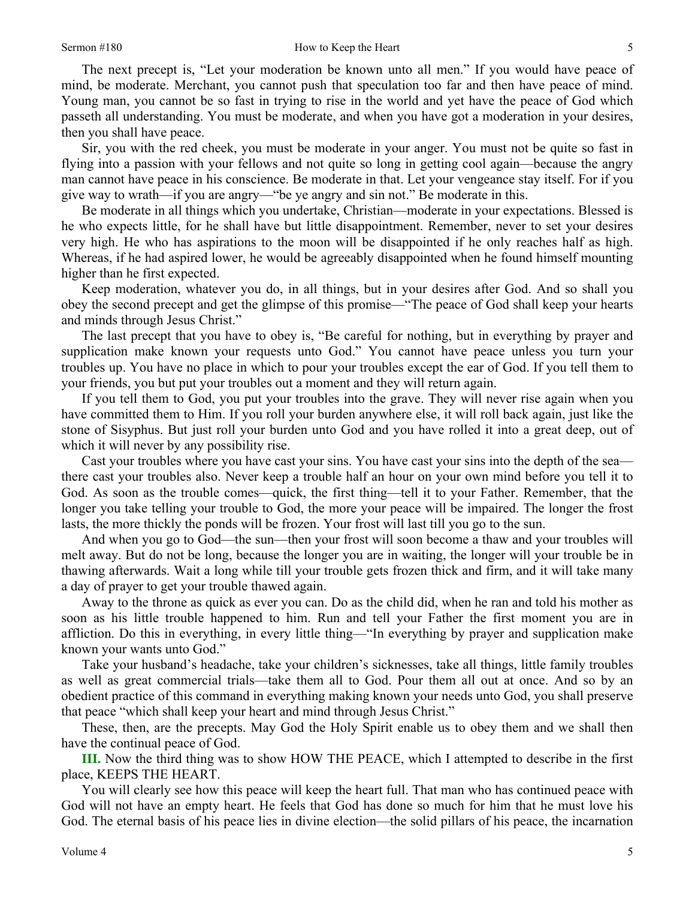The next precept is, "Let your moderation be known unto all men." If you would have peace of mind, be moderate. Merchant, you cannot push that speculation too far and then have peace of mind. Young man, you cannot be so fast in trying to rise in the world and yet have the peace of God which passeth all understanding. You must be moderate, and when you have got a moderation in your desires, then you shall have peace.

Sir, you with the red cheek, you must be moderate in your anger. You must not be quite so fast in flying into a passion with your fellows and not quite so long in getting cool again—because the angry man cannot have peace in his conscience. Be moderate in that. Let your vengeance stay itself. For if you give way to wrath—if you are angry—"be ye angry and sin not." Be moderate in this.

Be moderate in all things which you undertake, Christian—moderate in your expectations. Blessed is he who expects little, for he shall have but little disappointment. Remember, never to set your desires very high. He who has aspirations to the moon will be disappointed if he only reaches half as high. Whereas, if he had aspired lower, he would be agreeably disappointed when he found himself mounting higher than he first expected.

Keep moderation, whatever you do, in all things, but in your desires after God. And so shall you obey the second precept and get the glimpse of this promise—"The peace of God shall keep your hearts and minds through Jesus Christ."

The last precept that you have to obey is, "Be careful for nothing, but in everything by prayer and supplication make known your requests unto God." You cannot have peace unless you turn your troubles up. You have no place in which to pour your troubles except the ear of God. If you tell them to your friends, you but put your troubles out a moment and they will return again.

If you tell them to God, you put your troubles into the grave. They will never rise again when you have committed them to Him. If you roll your burden anywhere else, it will roll back again, just like the stone of Sisyphus. But just roll your burden unto God and you have rolled it into a great deep, out of which it will never by any possibility rise.

Cast your troubles where you have cast your sins. You have cast your sins into the depth of the sea there cast your troubles also. Never keep a trouble half an hour on your own mind before you tell it to God. As soon as the trouble comes—quick, the first thing—tell it to your Father. Remember, that the longer you take telling your trouble to God, the more your peace will be impaired. The longer the frost lasts, the more thickly the ponds will be frozen. Your frost will last till you go to the sun.

And when you go to God—the sun—then your frost will soon become a thaw and your troubles will melt away. But do not be long, because the longer you are in waiting, the longer will your trouble be in thawing afterwards. Wait a long while till your trouble gets frozen thick and firm, and it will take many a day of prayer to get your trouble thawed again.

Away to the throne as quick as ever you can. Do as the child did, when he ran and told his mother as soon as his little trouble happened to him. Run and tell your Father the first moment you are in affliction. Do this in everything, in every little thing—"In everything by prayer and supplication make known your wants unto God."

Take your husband's headache, take your children's sicknesses, take all things, little family troubles as well as great commercial trials—take them all to God. Pour them all out at once. And so by an obedient practice of this command in everything making known your needs unto God, you shall preserve that peace "which shall keep your heart and mind through Jesus Christ."

These, then, are the precepts. May God the Holy Spirit enable us to obey them and we shall then have the continual peace of God.

**III.** Now the third thing was to show HOW THE PEACE, which I attempted to describe in the first place, KEEPS THE HEART.

You will clearly see how this peace will keep the heart full. That man who has continued peace with God will not have an empty heart. He feels that God has done so much for him that he must love his God. The eternal basis of his peace lies in divine election—the solid pillars of his peace, the incarnation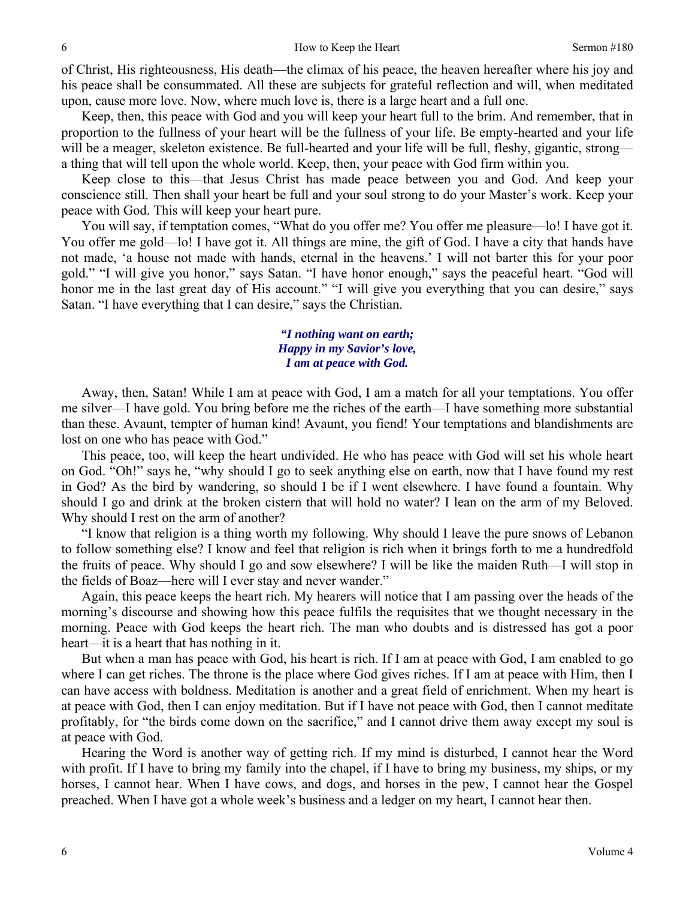of Christ, His righteousness, His death—the climax of his peace, the heaven hereafter where his joy and his peace shall be consummated. All these are subjects for grateful reflection and will, when meditated upon, cause more love. Now, where much love is, there is a large heart and a full one.

Keep, then, this peace with God and you will keep your heart full to the brim. And remember, that in proportion to the fullness of your heart will be the fullness of your life. Be empty-hearted and your life will be a meager, skeleton existence. Be full-hearted and your life will be full, fleshy, gigantic, strong a thing that will tell upon the whole world. Keep, then, your peace with God firm within you.

Keep close to this—that Jesus Christ has made peace between you and God. And keep your conscience still. Then shall your heart be full and your soul strong to do your Master's work. Keep your peace with God. This will keep your heart pure.

You will say, if temptation comes, "What do you offer me? You offer me pleasure—lo! I have got it. You offer me gold—lo! I have got it. All things are mine, the gift of God. I have a city that hands have not made, 'a house not made with hands, eternal in the heavens.' I will not barter this for your poor gold." "I will give you honor," says Satan. "I have honor enough," says the peaceful heart. "God will honor me in the last great day of His account." "I will give you everything that you can desire," says Satan. "I have everything that I can desire," says the Christian.

## *"I nothing want on earth; Happy in my Savior's love, I am at peace with God.*

Away, then, Satan! While I am at peace with God, I am a match for all your temptations. You offer me silver—I have gold. You bring before me the riches of the earth—I have something more substantial than these. Avaunt, tempter of human kind! Avaunt, you fiend! Your temptations and blandishments are lost on one who has peace with God."

This peace, too, will keep the heart undivided. He who has peace with God will set his whole heart on God. "Oh!" says he, "why should I go to seek anything else on earth, now that I have found my rest in God? As the bird by wandering, so should I be if I went elsewhere. I have found a fountain. Why should I go and drink at the broken cistern that will hold no water? I lean on the arm of my Beloved. Why should I rest on the arm of another?

"I know that religion is a thing worth my following. Why should I leave the pure snows of Lebanon to follow something else? I know and feel that religion is rich when it brings forth to me a hundredfold the fruits of peace. Why should I go and sow elsewhere? I will be like the maiden Ruth—I will stop in the fields of Boaz—here will I ever stay and never wander."

Again, this peace keeps the heart rich. My hearers will notice that I am passing over the heads of the morning's discourse and showing how this peace fulfils the requisites that we thought necessary in the morning. Peace with God keeps the heart rich. The man who doubts and is distressed has got a poor heart—it is a heart that has nothing in it.

But when a man has peace with God, his heart is rich. If I am at peace with God, I am enabled to go where I can get riches. The throne is the place where God gives riches. If I am at peace with Him, then I can have access with boldness. Meditation is another and a great field of enrichment. When my heart is at peace with God, then I can enjoy meditation. But if I have not peace with God, then I cannot meditate profitably, for "the birds come down on the sacrifice," and I cannot drive them away except my soul is at peace with God.

Hearing the Word is another way of getting rich. If my mind is disturbed, I cannot hear the Word with profit. If I have to bring my family into the chapel, if I have to bring my business, my ships, or my horses, I cannot hear. When I have cows, and dogs, and horses in the pew, I cannot hear the Gospel preached. When I have got a whole week's business and a ledger on my heart, I cannot hear then.

6